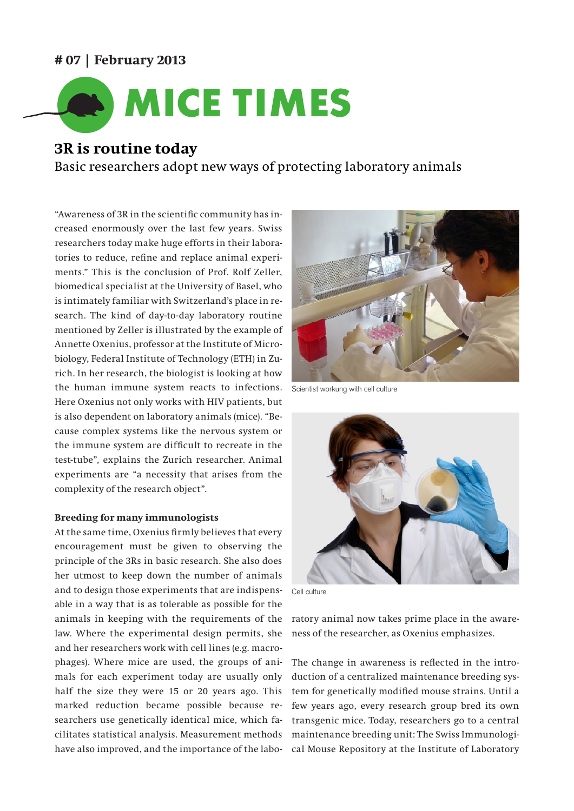## **# 07 | February 2013**



# **3R is routine today**

Basic researchers adopt new ways of protecting laboratory animals

"Awareness of 3R in the scientific community has increased enormously over the last few years. Swiss researchers today make huge efforts in their laboratories to reduce, refine and replace animal experiments." This is the conclusion of Prof. Rolf Zeller, biomedical specialist at the University of Basel, who is intimately familiar with Switzerland's place in research. The kind of day-to-day laboratory routine mentioned by Zeller is illustrated by the example of Annette Oxenius, professor at the Institute of Microbiology, Federal Institute of Technology (ETH) in Zurich. In her research, the biologist is looking at how the human immune system reacts to infections. Here Oxenius not only works with HIV patients, but is also dependent on laboratory animals (mice). "Because complex systems like the nervous system or the immune system are difficult to recreate in the test-tube", explains the Zurich researcher. Animal experiments are "a necessity that arises from the complexity of the research object".

#### **Breeding for many immunologists**

At the same time, Oxenius firmly believes that every encouragement must be given to observing the principle of the 3Rs in basic research. She also does her utmost to keep down the number of animals and to design those experiments that are indispensable in a way that is as tolerable as possible for the animals in keeping with the requirements of the law. Where the experimental design permits, she and her researchers work with cell lines (e.g. macrophages). Where mice are used, the groups of animals for each experiment today are usually only half the size they were 15 or 20 years ago. This marked reduction became possible because researchers use genetically identical mice, which facilitates statistical analysis. Measurement methods have also improved, and the importance of the labo-



Scientist workung with cell culture



Cell culture

ratory animal now takes prime place in the awareness of the researcher, as Oxenius emphasizes.

The change in awareness is reflected in the introduction of a centralized maintenance breeding system for genetically modified mouse strains. Until a few years ago, every research group bred its own transgenic mice. Today, researchers go to a central maintenance breeding unit: The Swiss Immunological Mouse Repository at the Institute of Laboratory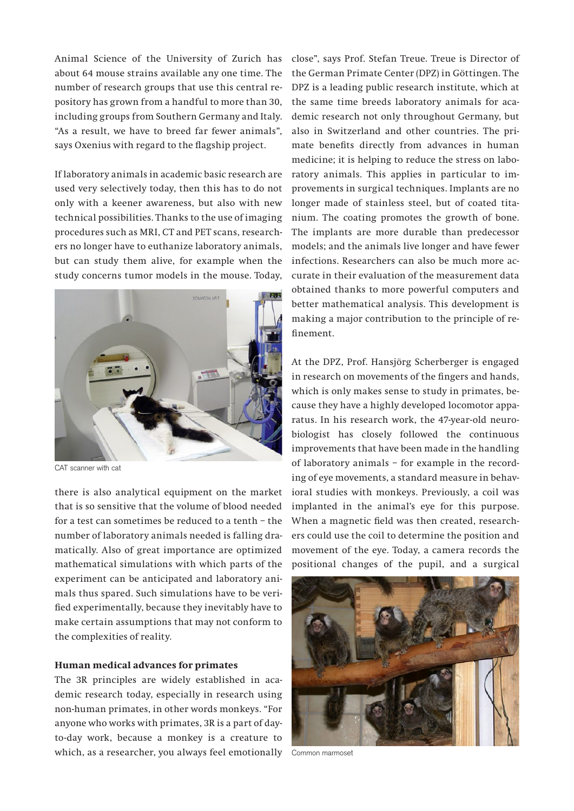Animal Science of the University of Zurich has about 64 mouse strains available any one time. The number of research groups that use this central repository has grown from a handful to more than 30, including groups from Southern Germany and Italy. "As a result, we have to breed far fewer animals", says Oxenius with regard to the flagship project.

If laboratory animals in academic basic research are used very selectively today, then this has to do not only with a keener awareness, but also with new technical possibilities. Thanks to the use of imaging procedures such as MRI, CT and PET scans, researchers no longer have to euthanize laboratory animals, but can study them alive, for example when the study concerns tumor models in the mouse. Today,



CAT scanner with cat

there is also analytical equipment on the market that is so sensitive that the volume of blood needed for a test can sometimes be reduced to a tenth – the number of laboratory animals needed is falling dramatically. Also of great importance are optimized mathematical simulations with which parts of the experiment can be anticipated and laboratory animals thus spared. Such simulations have to be verified experimentally, because they inevitably have to make certain assumptions that may not conform to the complexities of reality.

#### **Human medical advances for primates**

The 3R principles are widely established in academic research today, especially in research using non-human primates, in other words monkeys. "For anyone who works with primates, 3R is a part of dayto-day work, because a monkey is a creature to which, as a researcher, you always feel emotionally Common marmoset

close", says Prof. Stefan Treue. Treue is Director of the German Primate Center (DPZ) in Göttingen. The DPZ is a leading public research institute, which at the same time breeds laboratory animals for academic research not only throughout Germany, but also in Switzerland and other countries. The primate benefits directly from advances in human medicine; it is helping to reduce the stress on laboratory animals. This applies in particular to improvements in surgical techniques. Implants are no longer made of stainless steel, but of coated titanium. The coating promotes the growth of bone. The implants are more durable than predecessor models; and the animals live longer and have fewer infections. Researchers can also be much more accurate in their evaluation of the measurement data obtained thanks to more powerful computers and better mathematical analysis. This development is making a major contribution to the principle of refinement.

At the DPZ, Prof. Hansjörg Scherberger is engaged in research on movements of the fingers and hands, which is only makes sense to study in primates, because they have a highly developed locomotor apparatus. In his research work, the 47-year-old neurobiologist has closely followed the continuous improvements that have been made in the handling of laboratory animals – for example in the recording of eye movements, a standard measure in behavioral studies with monkeys. Previously, a coil was implanted in the animal's eye for this purpose. When a magnetic field was then created, researchers could use the coil to determine the position and movement of the eye. Today, a camera records the positional changes of the pupil, and a surgical

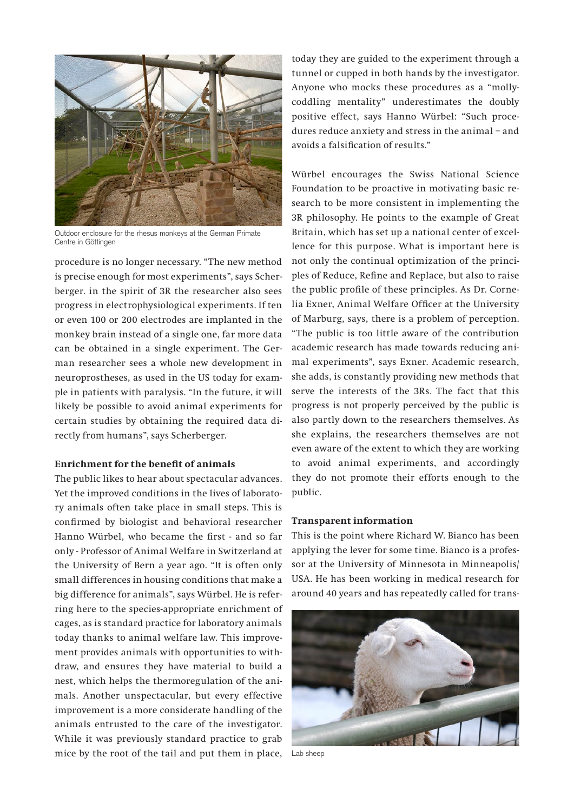

Outdoor enclosure for the rhesus monkeys at the German Primate Centre in Göttingen

procedure is no longer necessary. "The new method is precise enough for most experiments", says Scherberger. in the spirit of 3R the researcher also sees progress in electrophysiological experiments. If ten or even 100 or 200 electrodes are implanted in the monkey brain instead of a single one, far more data can be obtained in a single experiment. The German researcher sees a whole new development in neuroprostheses, as used in the US today for example in patients with paralysis. "In the future, it will likely be possible to avoid animal experiments for certain studies by obtaining the required data directly from humans", says Scherberger.

### **Enrichment for the benefit of animals**

The public likes to hear about spectacular advances. Yet the improved conditions in the lives of laboratory animals often take place in small steps. This is confirmed by biologist and behavioral researcher Hanno Würbel, who became the first - and so far only - Professor of Animal Welfare in Switzerland at the University of Bern a year ago. "It is often only small differences in housing conditions that make a big difference for animals", says Würbel. He is referring here to the species-appropriate enrichment of cages, as is standard practice for laboratory animals today thanks to animal welfare law. This improvement provides animals with opportunities to withdraw, and ensures they have material to build a nest, which helps the thermoregulation of the animals. Another unspectacular, but every effective improvement is a more considerate handling of the animals entrusted to the care of the investigator. While it was previously standard practice to grab mice by the root of the tail and put them in place, Lab sheep

today they are guided to the experiment through a tunnel or cupped in both hands by the investigator. Anyone who mocks these procedures as a "mollycoddling mentality" underestimates the doubly positive effect, says Hanno Würbel: "Such procedures reduce anxiety and stress in the animal – and avoids a falsification of results."

Würbel encourages the Swiss National Science Foundation to be proactive in motivating basic research to be more consistent in implementing the 3R philosophy. He points to the example of Great Britain, which has set up a national center of excellence for this purpose. What is important here is not only the continual optimization of the principles of Reduce, Refine and Replace, but also to raise the public profile of these principles. As Dr. Cornelia Exner, Animal Welfare Officer at the University of Marburg, says, there is a problem of perception. "The public is too little aware of the contribution academic research has made towards reducing animal experiments", says Exner. Academic research, she adds, is constantly providing new methods that serve the interests of the 3Rs. The fact that this progress is not properly perceived by the public is also partly down to the researchers themselves. As she explains, the researchers themselves are not even aware of the extent to which they are working to avoid animal experiments, and accordingly they do not promote their efforts enough to the public.

#### **Transparent information**

This is the point where Richard W. Bianco has been applying the lever for some time. Bianco is a professor at the University of Minnesota in Minneapolis/ USA. He has been working in medical research for around 40 years and has repeatedly called for trans-